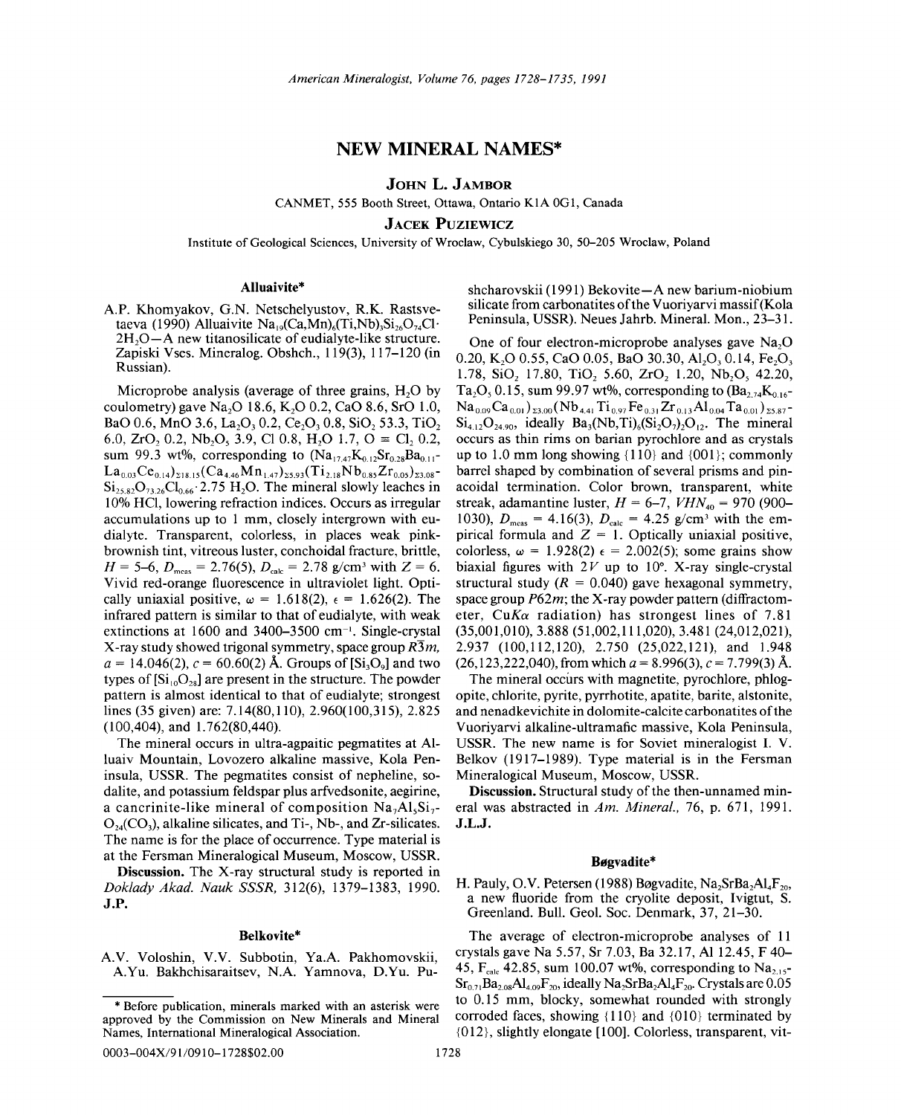# NEW MINERAL NAMES\*

JOHN L. JAMBOR

CANMET, 555 Booth Street, Ottawa, Ontario KIA OGI, Canada

**JACEK PUZIEWICZ** 

Institute of Geological Sciences, University of Wroc1aw, Cybulskiego 30, 50-205 Wroc1aw, Poland

## Alluaivite\*

AP. Khomyakov, G.N. Netschelyustov, R.K. Rastsvetaeva (1990) Alluaivite Na<sub>19</sub>(Ca,Mn)<sub>6</sub>(Ti,Nb)<sub>3</sub>Si<sub>26</sub>O<sub>74</sub>Cl<sup>1</sup>  $2H<sub>2</sub>O-A$  new titanosilicate of eudialyte-like structure. Zapiski Vses. Mineralog. Obshch., 119(3), 117-120 (in Russian).

Microprobe analysis (average of three grains,  $H<sub>2</sub>O$  by coulometry) gave Na<sub>2</sub>O 18.6, K<sub>2</sub>O 0.2, CaO 8.6, SrO 1.0, BaO 0.6, MnO 3.6, La<sub>2</sub>O<sub>3</sub> 0.2, Ce<sub>2</sub>O<sub>3</sub> 0.8, SiO<sub>2</sub> 53.3, TiO<sub>2</sub> 6.0,  $ZrQ_2$  0.2,  $Nb_2Q_5$  3.9, Cl 0.8,  $H_2O$  1.7,  $O \equiv Cl_2$  0.2 sum 99.3 wt%, corresponding to  $(Na_{17,47}K_{0.12}Sr_{0.28}Ba_{0.11}$ - $La_{0.03}Ce_{0.14}\big)_{218.15} (Ca_{4.46}Mn_{1.47})_{25.93} (Ti_{2.18}Nb_{0.85}Zr_{0.05})_{23.08}$  $Si_{25,82}O_{73,26}Cl_{0.66}$  2.75 H<sub>2</sub>O. The mineral slowly leaches in 10% HCl, lowering refraction indices. Occurs as irregular accumulations up to 1 mm, closely intergrown with eudia1yte. Transparent, colorless, in places weak pinkbrownish tint, vitreous luster, conchoidal fracture, brittle,  $H = 5-6$ ,  $D_{\text{meas}} = 2.76(5)$ ,  $D_{\text{calc}} = 2.78$  g/cm<sup>3</sup> with  $Z = 6$ . Vivid red-orange fluorescence in ultraviolet light. Optically uniaxial positive,  $\omega = 1.618(2)$ ,  $\epsilon = 1.626(2)$ . The infrared pattern is similar to that of eudialyte, with weak extinctions at  $1600$  and  $3400-3500$  cm<sup>-1</sup>. Single-crystal X-ray study showed trigonal symmetry, space group  $R\overline{3}m$ ,  $a = 14.046(2)$ ,  $c = 60.60(2)$  Å. Groups of [Si<sub>3</sub>O<sub>9</sub>] and two types of  $[Si_{10}O_{28}]$  are present in the structure. The powder pattern is almost identical to that of eudia1yte; strongest lines (35 given) are: 7.14(80,110), 2.960(100,315), 2.825 (100,404), and 1.762(80,440).

The mineral occurs in ultra-agpaitic pegmatites at AIluaiv Mountain, Lovozero alkaline massive, Kola Peninsula, USSR. The pegmatites consist of nepheline, sodalite, and potassium feldspar plus arfvedsonite, aegirine, a cancrinite-like mineral of composition  $Na<sub>7</sub>Al<sub>5</sub>Si<sub>7</sub>$  $O_{24}(CO_3)$ , alkaline silicates, and Ti-, Nb-, and Zr-silicates. The name is for the place of occurrence. Type material is at the Fersman Mineralogical Museum, Moscow, USSR.

Discussion. The X-ray structural study is reported in *Doklady Akad. Nauk SSSR,* 312(6), 1379-1383, 1990. J.P.

#### Belkovite\*

AV. Voloshin, V.V. Subbotin, Ya.A Pakhomovskii, A.Yu. Bakhchisaraitsev, N.A. Yamnova, D.Yu. Pu-

0003-004X/91/0910-1728\$02.00

shcharovskii (1991) Bekovite- A new barium -niobium silicate from carbonatites of the Vuoriyarvi massif(Kola Peninsula, USSR). Neues Jahrb. Mineral. Mon., 23-31.

One of four electron-microprobe analyses gave  $Na<sub>2</sub>O$ 0.20, K<sub>2</sub>O 0.55, C<sub>a</sub>O 0.05, B<sub>a</sub>O 30.30, Al<sub>2</sub>O<sub>3</sub> 0.14, Fe<sub>2</sub>O<sub>3</sub> 1.78,  $SiO_2$  17.80,  $TiO_2$  5.60,  $ZrO_2$  1.20,  $Nb_2O_5$  42.20, Ta<sub>2</sub>O<sub>5</sub>, 0.15, sum 99.97 wt%, corresponding to  $(Ba_{2,74}K_{0.16}$ - $Na_{0.09}Ca_{0.01}$ )<sub>23.00</sub> (Nb<sub>4.41</sub> Ti<sub>0.97</sub> Fe<sub>0.31</sub> Zr<sub>0.13</sub> Al<sub>0.04</sub> Ta<sub>0.01</sub>)<sub>25.87</sub>- $Si<sub>412</sub>O<sub>2490</sub>$ , ideally  $Ba<sub>3</sub>(Nb, Ti)<sub>6</sub>(Si<sub>2</sub>O<sub>2</sub>)<sub>22</sub>$ . The mineral occurs as thin rims on barian pyrochlore and as crystals up to 1.0 mm long showing  $\{110\}$  and  $\{001\}$ ; commonly barrel shaped by combination of several prisms and pinacoidal termination. Color brown, transparent, white streak, adamantine luster,  $H = 6-7$ ,  $VHN_{40} = 970 (900-$ *1030),*  $D_{\text{meas}} = 4.16(3)$ ,  $D_{\text{calc}} = 4.25$  g/cm<sup>3</sup> with the empirical formula and  $Z = 1$ . Optically uniaxial positive, colorless,  $\omega = 1.928(2) \epsilon = 2.002(5)$ ; some grains show biaxial figures with  $2V$  up to 10°. X-ray single-crystal structural study  $(R = 0.040)$  gave hexagonal symmetry, space group *P62m;* the X-ray powder pattern (diffractometer,  $CuK\alpha$  radiation) has strongest lines of 7.81 (35,001,010), 3.888 (51,002,111,020), 3.481 (24,012,021), 2.937 (100,112,120), 2.750 (25,022,121), and 1.948  $(26,123,222,040)$ , from which  $a = 8.996(3)$ ,  $c = 7.799(3)$  Å.

The mineral occurs with magnetite, pyrochlore, phlogopite, chlorite, pyrite, pyrrhotite, apatite, barite, alstonite, and nenadkevichite in dolomite-calcite carbonatites of the Vuoriyarvi alkaline-ultramafic massive, Kola Peninsula, USSR. The new name is for Soviet mineralogist I. V. Belkov (1917–1989). Type material is in the Fersman Mineralogical Museum, Moscow, USSR.

Discussion. Structural study of the then-unnamed mineral was abstracted in *Am. Mineral.,* 76, p. 671, 1991. J.L.J.

### Bøgvadite\*

H. Pauly, O.V. Petersen (1988) Bøgvadite, Na<sub>2</sub>SrBa<sub>2</sub>Al<sub>4</sub>F<sub>20</sub>, a new fluoride from the cryolite deposit, Ivigtut, S. Greenland. Bull. Geol. Soc. Denmark, 37, 21-30.

The average of electron-microprobe analyses of 11 crystals gave Na 5.57, Sr 7.03, Ba 32.17, Al 12.45, F 40- 45,  $F_{calc}$  42.85, sum 100.07 wt%, corresponding to Na<sub>2.15</sub>- $Sr_{0.71}Ba_{2.08}Al_{4.09}F_{20}$ , ideally  $Na_2SrBa_2Al_4F_{20}$ . Crystals are 0.05 to 0.15 mm, blocky, somewhat rounded with strongly corroded faces, showing {l10} and {01O} terminated by {012}, slightly elongate [100]. Colorless, transparent, vit-

<sup>\*</sup> Before publication, minerals marked with an asterisk were approved by the Commission on New Minerals and Mineral Names, International Mineralogical Association.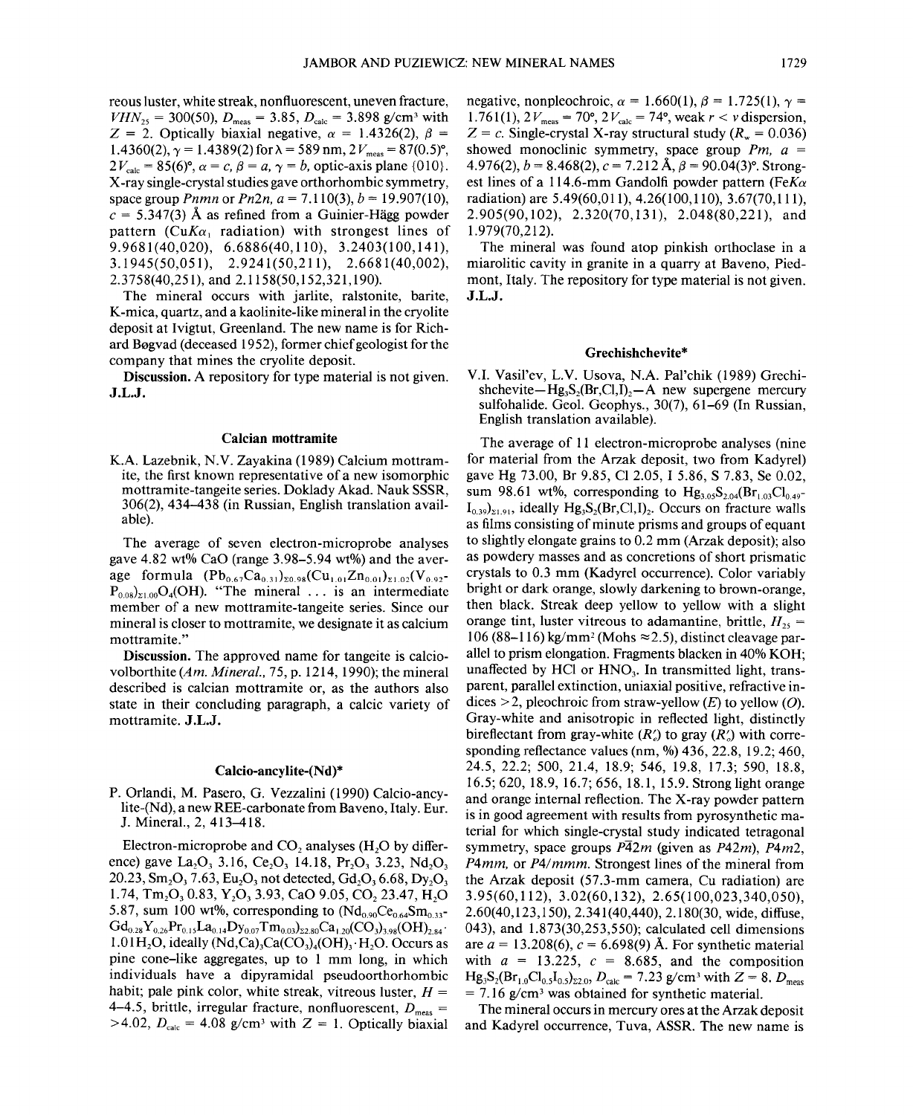reous luster, white streak, nonfluorescent, uneven fracture,  $VHN_{25} = 300(50), D_{meas} = 3.85, D_{calc} = 3.898$  g/cm<sup>3</sup> with  $Z = 2$ . Optically biaxial negative,  $\alpha = 1.4326(2)$ ,  $\beta =$  $1.4360(2)$ ,  $\gamma = 1.4389(2)$  for  $\lambda = 589$  nm,  $2 V_{\text{meas}} = 87(0.5)$ °,  $2V_{\text{calc}} = 85(6)$ °,  $\alpha = c, \beta = a, \gamma = b$ , optic-axis plane {010}. X-ray single-crystal studies gave orthorhombic symmetry, space group *Pnmn* or *Pn2n*,  $a = 7.110(3)$ ,  $b = 19.907(10)$ ,  $c = 5.347(3)$  Å as refined from a Guinier-Hägg powder pattern *(CuK* $\alpha_1$  *radiation)* with strongest lines of 9.9681(40,020), 6.6886(40,110), 3.2403(100,141), 3.1945(50,051), 2.9241 (50,211), 2.6681 (40,002), 2.3758(40,251), and 2.1158(50,152,321,190).

The mineral occurs with jarlite, ralstonite, barite, K-mica, quartz, and a kaolinite-like mineral in the cryolite deposit at Ivigtut, Greenland. The new name is for Richard Bogvad (deceased 1952), former chief geologist for the company that mines the cryolite deposit.

**Discussion.** A repository for type material is not given. **J.L.J.**

#### **Calcian mottramite**

K.A. Lazebnik, N.V. Zayakina (1989) Calcium mottramite, the first known representative of a new isomorphic mottramite-tangeite series. Doklady Akad. Nauk SSSR, 306(2), 434-438 (in Russian, English translation available).

The average of seven electron-microprobe analyses gave 4.82 wt% CaO (range 3.98-5.94 wt%) and the average formula  $(Pb_{0.67}Ca_{0.31})_{z_0.98}(Cu_{1.01}Zn_{0.01})_{z_1.02}(V_{0.92}$  $P_{0.08}$ <sub>21.00</sub>O<sub>4</sub>(OH). "The mineral ... is an intermediate member of a new mottramite-tangeite series. Since our mineral is closer to mottramite, we designate it as calcium mottramite."

**Discussion.** The approved name for tangeite is calciovolborthite *(Am. Mineral.,* 75, p. 1214, 1990); the mineral described is calcian mottramite or, as the authors also state in their concluding paragraph, a calcic variety of mottramite. **J.L.J.**

#### **Calcio-ancylite-(Nd)\***

P. Orlandi, M. Pasero, G. Vezzalini (1990) Calcio-ancylite-(Nd), a new REE-carbonate from Baveno, Italy. Eur. J. Mineral., 2, 413-418.

Electron-microprobe and  $CO$ , analyses (H<sub>2</sub>O by difference) gave La<sub>2</sub>O<sub>3</sub> 3.16, Ce<sub>2</sub>O<sub>3</sub> 14.18, Pr<sub>2</sub>O<sub>3</sub> 3.23, Nd<sub>2</sub>O<sub>3</sub> 20.23, Sm<sub>2</sub>O<sub>3</sub>, 7.63, Eu<sub>2</sub>O<sub>3</sub>, not detected, Gd<sub>2</sub>O<sub>3</sub> 6.68, D<sub>V<sub>2</sub>O<sub>3</sub></sub> 1.74, Tm<sub>2</sub>O<sub>2</sub> 0.83, Y<sub>2</sub>O<sub>3</sub> 3.93, CaO 9.05, CO<sub>2</sub> 23.47, H<sub>2</sub>O 5.87, sum 100 wt%, corresponding to  $(Nd_{0.90}Ce_{0.64}Sm_{0.33}$ - $Gd_{0.28}Y_{0.26}Pr_{0.15}La_{0.14}Dy_{0.07}Tm_{0.03}^{\text{}}_{\text{22.80}}Ca_{1.20}^{\text{}}(CO_3)_{3.98}$ (OH)<sub>2.84</sub>.  $1.01 H<sub>2</sub>O$ , ideally (Nd,Ca)<sub>3</sub>Ca(CO<sub>3</sub>)<sub>4</sub>(OH)<sub>3</sub>·H<sub>2</sub>O. Occurs as pine cone-like aggregates, up to 1 mm long, in which individuals have a dipyramidal pseudoorthorhombic habit; pale pink color, white streak, vitreous luster, *H =* 4-4.5, brittle, irregular fracture, nonfluorescent,  $D_{\text{meas}}=$ >4.02,  $D_{\text{calc}} = 4.08$  g/cm<sup>3</sup> with  $Z = 1$ . Optically biaxial

negative, nonpleochroic,  $\alpha = 1.660(1)$ ,  $\beta = 1.725(1)$ ,  $\gamma =$ 1.761(1),  $2V_{\text{meas}} = 70^{\circ}, 2V_{\text{calc}} = 74^{\circ}, \text{weak } r < v \text{ dispersion},$  $Z = c$ . Single-crystal X-ray structural study  $(R_m = 0.036)$ showed monoclinic symmetry, space group *Pm, a =* 4.976(2),  $b = 8.468(2)$ ,  $c = 7.212$  Å,  $\beta = 90.04(3)$ °. Strongest lines of a 114.6-mm Gandolfi powder pattern *(FeKa* radiation) are 5.49(60,011), 4.26(100,110), 3.67(70,111), 2.905(90,102), 2.320(70,131), 2.048(80,221), and 1.979(70,212).

The mineral was found atop pinkish orthoclase in a miarolitic cavity in granite in a quarry at Baveno, Piedmont, Italy. The repository for type material is not given. **J.L.J.**

#### **Grechishchevite\***

V.I. Vasil'ev, L.V. Usova, N.A. Pal'chik (1989) Grechishchevite-Hg<sub>3</sub>S<sub>2</sub>(Br,Cl,I)<sub>2</sub>-A new supergene mercury sulfohalide. Geol. Geophys., 30(7), 61-69 (In Russian, English translation available).

The average of **II** electron-microprobe analyses (nine for material from the Arzak deposit, two from Kadyrel) gave Hg 73.00, Br 9.85, Cl 2.05, I 5.86, S 7.83, Se 0.02, sum 98.61 wt%, corresponding to  $Hg_{3.05}S_{2.04}(Br_{1.03}Cl_{0.49}$  $I_{0.39}$ <sub>21.91</sub>, ideally Hg<sub>3</sub>S<sub>2</sub>(Br,Cl,I)<sub>2</sub>. Occurs on fracture walls as films consisting of minute prisms and groups of equant to slightly elongate grains to 0.2 mm (Arzak deposit); also as powdery masses and as concretions of short prismatic crystals to 0.3 mm (Kadyrel occurrence). Color variably bright or dark orange, slowly darkening to brown-orange, then black. Streak deep yellow to yellow with a slight orange tint, luster vitreous to adamantine, brittle,  $H_{25}$  = 106 (88-116) kg/mm<sup>2</sup> (Mohs  $\approx$  2.5), distinct cleavage parallel to prism elongation. Fragments blacken in 40% KOH; unaffected by HCl or HNO,. **In** transmitted light, transparent, parallel extinction, uniaxial positive, refractive indices  $> 2$ , pleochroic from straw-yellow *(E)* to yellow *(O)*. Gray-white and anisotropic in reflected light, distinctly bireflectant from gray-white  $(R')$  to gray  $(R')$  with corresponding reflectance values (nm, %) 436, 22.8, 19.2; 460, 24.5,22.2; 500, 21.4, 18.9; 546, 19.8, 17.3; 590, 18.8, 16.5; 620,18.9,16.7; 656,18.1,15.9. Strong light orange and orange internal reflection. The X-ray powder pattern is in good agreement with results from pyrosynthetic material for which single-crystal study indicated tetragonal symmetry, space groups *P42m* (given as *P42m), P4m2, P4mm,* or *P4/mmm.* Strongest lines of the mineral from the Arzak deposit (57.3-mm camera, Cu radiation) are 3.95(60,112), 3.02(60,132), 2.65(100,023,340,050), 2.60(40,123,150),2.341(40,440),2.180(30, wide, diffuse, 043), and 1.873(30,253,550); calculated cell dimensions are  $a = 13.208(6)$ ,  $c = 6.698(9)$  Å. For synthetic material with  $a = 13.225$ ,  $c = 8.685$ , and the composition  $Hg_3S_2(Br_{1.0}Cl_{0.5}I_{0.5})_{z2.0}$ ,  $D_{calc} = 7.23$  g/cm<sup>3</sup> with  $Z = 8$ .  $D_{meas}$  $= 7.16$  g/cm<sup>3</sup> was obtained for synthetic material.

The mineral occurs in mercury ores at the Arzak deposit and Kadyrel occurrence, Tuva, ASSR. The new name is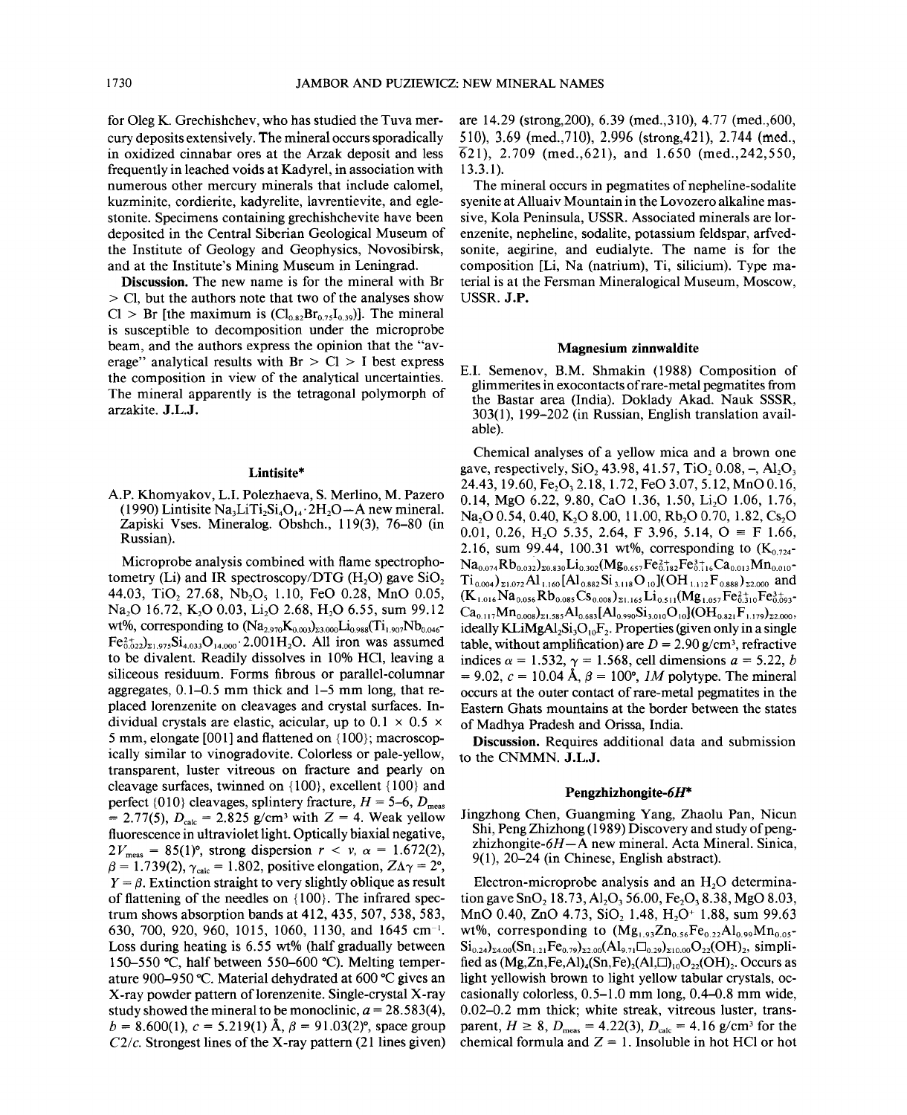for Oleg K. Grechishchev, who has studied the Tuva mercury deposits extensively. The mineral occurs sporadically in oxidized cinnabar ores at the Arzak deposit and less frequently in leached voids at Kadyrel, in association with numerous other mercury minerals that include calomel, kuzminite, cordierite, kadyrelite, lavrentievite, and eglestonite. Specimens containing grechishchevite have been deposited in the Central Siberian Geological Museum of the Institute of Geology and Geophysics, Novosibirsk, and at the Institute's Mining Museum in Leningrad.

Discussion. The new name is for the mineral with Br > Cl, but the authors note that two of the analyses show  $Cl > Br$  [the maximum is  $(Cl_{0.82}Br_{0.75}I_{0.39})$ ]. The mineral is susceptible to decomposition under the microprobe beam, and the authors express the opinion that the "average" analytical results with  $Br > Cl > I$  best express the composition in view of the analytical uncertainties. The mineral apparently is the tetragonal polymorph of arzakite. J.L.J.

## Lintisite\*

A.P. Khomyakov, L.I. Polezhaeva, S. Merlino, M. Pazero (1990) Lintisite Na<sub>3</sub>LiTi<sub>2</sub>Si<sub>4</sub>O<sub>14</sub> 2H<sub>2</sub>O - A new mineral. Zapiski Vses. Mineralog. Obshch., 119(3), 76-80 (in Russian).

Microprobe analysis combined with flame spectrophotometry (Li) and IR spectroscopy/DTG (H<sub>2</sub>O) gave SiO<sub>2</sub> 44.03, TiO<sub>2</sub> 27.68, Nb<sub>2</sub>O<sub>5</sub> 1.10, FeO 0.28, MnO 0.05, Na<sub>2</sub>O 16.72, K<sub>2</sub>O 0.03, L<sub>1</sub><sub>2</sub>O 2.68, H<sub>2</sub>O 6.55, sum 99.12 wt%, corresponding to  $(Na_{2.970}K_{0.003})_{23.000}Li_{0.988}(Ti_{1.907}Nb_{0.046}$ - $Fe_{0.022}^{2+}$ <sub>21.975</sub>Si<sub>4.033</sub>O<sub>14.000</sub>.2.001H<sub>2</sub>O. All iron was assumed to be divalent. Readily dissolves in 10% HCl, leaving a siliceous residuum. Forms fibrous or parallel-columnar aggregates, 0.1-0.5 mm thick and 1-5 mm long, that replaced lorenzenite on cleavages and crystal surfaces. Individual crystals are elastic, acicular, up to  $0.1 \times 0.5 \times$ 5 mm, elongate [001] and flattened on {IOO}; macroscopically similar to vinogradovite. Colorless or pale-yellow, transparent, luster vitreous on fracture and pearly on cleavage surfaces, twinned on  ${100}$ , excellent  ${100}$  and perfect  $\{010\}$  cleavages, splintery fracture,  $H = 5-6$ ,  $D_{\text{meas}}$  $= 2.77(5)$ ,  $D_{\text{calc}} = 2.825$  g/cm<sup>3</sup> with  $Z = 4$ . Weak yellow fluorescence in ultraviolet light. Optically biaxial negative,  $2V_{\text{meas}} = 85(1)$ °, strong dispersion  $r < v$ ,  $\alpha = 1.672(2)$ ,  $\beta = 1.739(2)$ ,  $\gamma_{\text{calc}} = 1.802$ , positive elongation,  $Z\Lambda\gamma = 2^{\circ}$ ,  $Y = \beta$ . Extinction straight to very slightly oblique as result of flattening of the needles on {100}. The infrared spectrum shows absorption bands at 412, 435, 507, 538, 583, 630, 700, 920, 960, 1015, 1060, 1130, and 1645 em-I. Loss during heating is 6.55 wt% (half gradually between 150-550 °C, half between 550-600 °C). Melting temperature 900–950 °C. Material dehydrated at 600 °C gives an X-ray powder pattern of lorenzenite. Single-crystal X-ray study showed the mineral to be monoclinic,  $a = 28.583(4)$ ,  $b = 8.600(1)$ ,  $c = 5.219(1)$  Å,  $\beta = 91.03(2)$ °, space group  $C2/c$ . Strongest lines of the X-ray pattern (21 lines given) are 14.29 (strong,200), 6.39 (med.,31O), 4.77 (med.,600, 510), 3.69 (med.,71O), 2.996 (strong,42l), 2.744 (med.,  $(621)$ , 2.709 (med., 621), and 1.650 (med., 242, 550, 13.3.1).

The mineral occurs in pegmatites of nepheline-sodalite syenite at Alluaiv Mountain in the Lovozero alkaline massive, Kola Peninsula, USSR. Associated minerals are lorenzenite, nepheline, sodalite, potassium feldspar, arfvedsonite, aegirine, and eudialyte. The name is for the composition [Li, Na (natrium), Ti, silicium). Type material is at the Fersman Mineralogical Museum, Moscow, USSR. J.P.

# Magnesium zinnwaldite

E.I. Semenov, B.M. Shmakin (1988) Composition of glimmerites in exocontacts of rare-metal pegmatites from the Bastar area (India). Doklady Akad. Nauk SSSR, 303(1),199-202 (in Russian, English translation available).

Chemical analyses of a yellow mica and a brown one gave, respectively, SiO, 43.98, 41.57, TiO,  $0.08, -$ , Al<sub>2</sub>O<sub>3</sub> 24.43, 19.60, Fe<sub>2</sub>O<sub>3</sub> 2.18, 1.72, FeO 3.07, 5.12, MnO 0.16, 0.14, MgO 6.22, 9.80, CaO 1.36, 1.50, Li<sub>2</sub>O 1.06, 1.76, Na<sub>2</sub>O 0.54, 0.40, K<sub>2</sub>O 8.00, 11.00, Rb<sub>2</sub>O 0.70, 1.82, Cs<sub>2</sub>O 0.01, 0.26, H<sub>2</sub>O 5.35, 2.64, F 3.96, 5.14,  $O \equiv$  F 1.66, 2.16, sum 99.44, 100.31 wt%, corresponding to  $(K_{0.724}$ - $Na_{0.074}Rb_{0.032}$ <sub>20.830</sub>Li<sub>0.302</sub>(Mg<sub>0.657</sub>Fe<sub>6.182</sub>Fe<sub>6.116</sub>Ca<sub>0.013</sub>Mn<sub>0.010</sub>- $Ti_{0.004}$ <sub>21.072</sub>Al<sub>1.160</sub>[Al<sub>0.882</sub>Si<sub>3.118</sub>O<sub>10</sub>](OH<sub>1.112</sub>F<sub>0.888</sub>)<sub>22.000</sub> and  $(K_{1.016}Na_{0.056}Rb_{0.085}Cs_{0.008})_{21.165}Li_{0.511}(Mg_{1.057}Fe_{0.310}^{2+}Fe_{0.093}^{3+}$  $Ca_{0.117}Mn_{0.008})_{\Sigma1.585}Al_{0.683}[Al_{0.990}Si_{3.010}O_{10}](OH_{0.821}F_{1.179})_{\Sigma2.000}$ ideally KLiMgAl<sub>2</sub>Si<sub>3</sub>O<sub>10</sub>F<sub>2</sub>. Properties (given only in a single table, without amplification) are  $D = 2.90 \text{ g/cm}^3$ , refractive indices  $\alpha = 1.532$ ,  $\gamma = 1.568$ , cell dimensions  $a = 5.22$ , *b*  $= 9.02$ ,  $c = 10.04$  Å,  $\beta = 100^{\circ}$ , *IM* polytype. The mineral occurs at the outer contact ofrare-metal pegmatites in the Eastern Ghats mountains at the border between the states of Madhya Pradesh and Orissa, India.

Discussion. Requires additional data and submission to the CNMMN. J.L.J.

### Pengzhizhongite- $6H^*$

Jingzhong Chen, Guangming Yang, Zhaolu Pan, Nicun Shi, Peng Zhizhong (1989) Discovery and study of pengzhizhongite- $6H - A$  new mineral. Acta Mineral. Sinica, 9(1), 20-24 (in Chinese, English abstract).

Electron-microprobe analysis and an H<sub>2</sub>O determination gave SnO<sub>2</sub> 18.73, Al<sub>2</sub>O<sub>3</sub> 56.00, Fe<sub>2</sub>O<sub>3</sub> 8.38, MgO 8.03, MnO 0.40, ZnO 4.73, SiO, 1.48, H<sub>2</sub>O<sup>+</sup> 1.88, sum 99.63 wt%, corresponding to  $(Mg_{1,93}Zn_{0.56}Fe_{0.22}Al_{0.99}Mn_{0.05}$ - $\rm Si_{0.24})_{24.00}(\rm Sn_{1.21}Fe_{0.79})_{22.00}(\rm Al_{9.71}\square_{0.29})_{210.00}O_{22}(\rm OH)_{2}$ , simplified as  $(Mg,Zn,Fe,A)_4(Sn,Fe)_2(Al,\Box)_{10}O_{22}(OH)_2$ . Occurs as light yellowish brown to light yellow tabular crystals, occasionally colorless, 0.5-1.0 mm long, 0.4-0.8 mm wide, 0.02-0.2 mm thick; white streak, vitreous luster, transparent,  $H \ge 8$ ,  $D_{\text{meas}} = 4.22(3)$ ,  $D_{\text{calc}} = 4.16$  g/cm<sup>3</sup> for the chemical formula and  $Z = 1$ . Insoluble in hot HCl or hot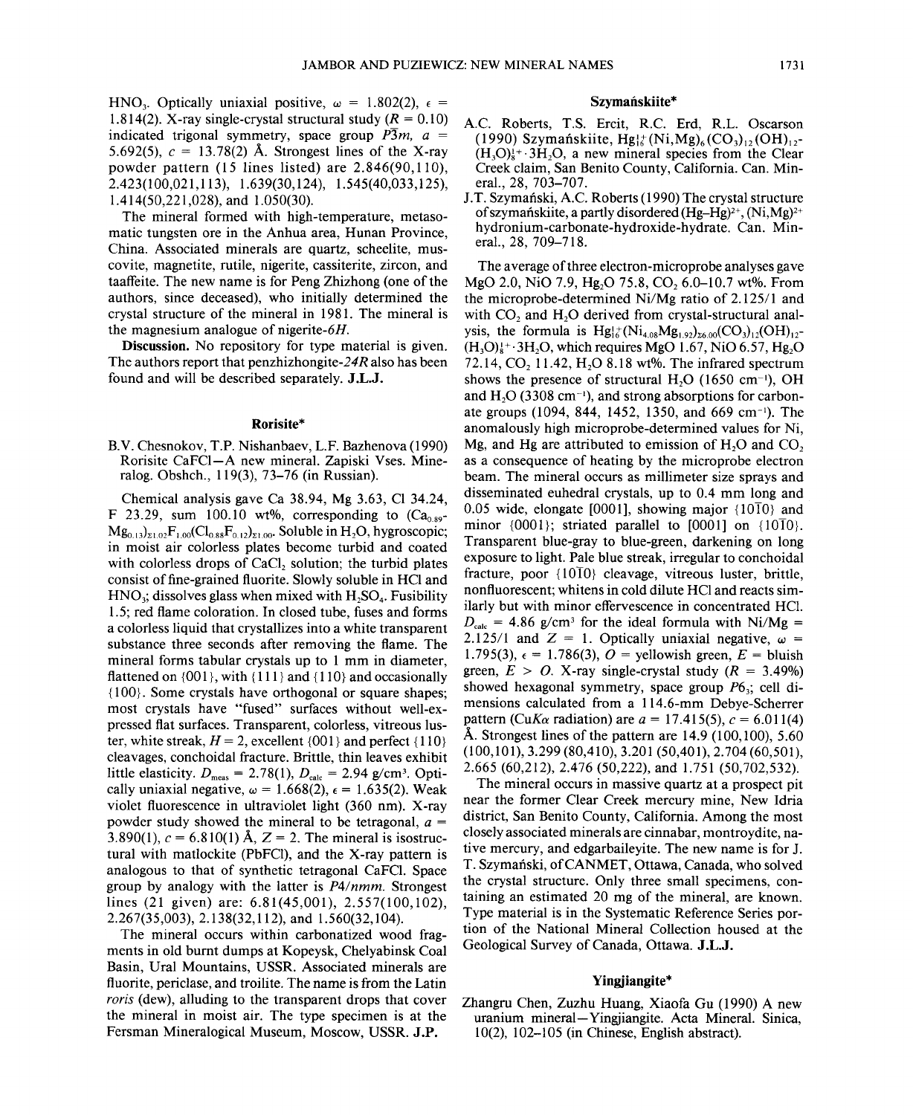HNO<sub>3</sub>. Optically uniaxial positive,  $\omega = 1.802(2)$ ,  $\epsilon =$ 1.814(2). X-ray single-crystal structural study  $(R = 0.10)$ indicated trigonal symmetry, space group  $\overline{P3}m$ ,  $a =$ 5.692(5),  $c = 13.78(2)$  Å. Strongest lines of the X-ray powder pattern (15 lines listed) are 2.846(90,110), 2.423(100,021,113), 1.639(30,124), 1.545(40,033,125), 1.414(50,221,028), and 1.050(30).

The mineral formed with high-temperature, metasomatic tungsten ore in the Anhua area, Hunan Province, China. Associated minerals are quartz, scheelite, muscovite, magnetite, rutile, nigerite, cassiterite, zircon, and taaffeite. The new name is for Peng Zhizhong (one of the authors, since deceased), who initially determined the crystal structure of the mineral in 1981. The mineral is the magnesium analogue of nigerite-6H.

Discussion. No repository for type material is given. The authors report that penzhizhongite-24R also has been found and will be described separately. J.L.J.

## Rorisite\*

B.V. Chesnokov, T.P. Nishanbaev, L.P. Bazhenova (1990) Rorisite CaFCl-A new mineral. Zapiski Vses. Mineralog. Obshch., 119(3), 73-76 (in Russian).

Chemical analysis gave Ca 38.94, Mg 3.63, Cl 34.24, F 23.29, sum 100.10 wt%, corresponding to  $(Ca<sub>0.89</sub> Mg_{0.13})_{\Sigma1.02}F_{1.00}(Cl_{0.88}F_{0.12})_{\Sigma1.00}$ . Soluble in H<sub>2</sub>O, hygroscopic; in moist air colorless plates become turbid and coated with colorless drops of CaCl, solution; the turbid plates consist of fine-grained fluorite. Slowly soluble in HCl and  $HNO<sub>3</sub>$ ; dissolves glass when mixed with  $H<sub>2</sub>SO<sub>4</sub>$ . Fusibility 1.5; red flame coloration. In closed tube, fuses and forms a colorless liquid that crystallizes into a white transparent substance three seconds after removing the flame. The mineral forms tabular crystals up to 1 mm in diameter, flattened on  $\{001\}$ , with  $\{111\}$  and  $\{110\}$  and occasionally {100}. Some crystals have orthogonal or square shapes; most crystals have "fused" surfaces without well-expressed flat surfaces. Transparent, colorless, vitreous luster, white streak,  $H = 2$ , excellent  $\{001\}$  and perfect  $\{110\}$ cleavages, conchoidal fracture. Brittle, thin leaves exhibit little elasticity.  $D_{\text{meas}} = 2.78(1), D_{\text{calc}} = 2.94 \text{ g/cm}^3$ . Optically uniaxial negative,  $\omega = 1.668(2)$ ,  $\epsilon = 1.635(2)$ . Weak violet fluorescence in ultraviolet light (360 nm). X-ray powder study showed the mineral to be tetragonal, *a =* 3.890(1),  $c = 6.810(1)$  Å,  $Z = 2$ . The mineral is isostructural with matlockite (PbFCl), and the X-ray pattern is analogous to that of synthetic tetragonal CaFCl. Space group by analogy with the latter is *P4/nmm.* Strongest lines (21 given) are: 6.81(45,001), 2.557(100,102), 2.267(35,003), 2.138(32,112), and 1.560(32,104).

The mineral occurs within carbonatized wood fragments in old burnt dumps at Kopeysk, Chelyabinsk Coal Basin, Ural Mountains, USSR. Associated minerals are fluorite, periclase, and troilite. The name is from the Latin *roris* (dew), alluding to the transparent drops that cover the mineral in moist air. The type specimen is at the Fersman Mineralogical Museum, Moscow, USSR. J.P.

# Szymańskiite\*

- A.c. Roberts, T.S. Ercit, R.C. Erd, R.L. Oscarson (1990) Szymańskiite, Hg! $(k)$ (Ni,Mg)<sub>6</sub>(CO<sub>3</sub>)<sub>12</sub>(OH)<sub>12</sub>- $(H<sub>3</sub>O)<sub>8</sub>$ <sup>+</sup>  $\cdot$  3H<sub>2</sub>O, a new mineral species from the Clear Creek claim, San Benito County, California. Can. Mineral., 28, 703-707.
- J.T. Szymański, A.C. Roberts (1990) The crystal structure of szymańskiite, a partly disordered  $(Hg-Hg)^{2+}$ ,  $(Ni, Mg)^{2+}$ hydronium-carbonate-hydroxide-hydrate. Can. Mineral., 28, 709-718.

The average of three electron-microprobe analyses gave MgO 2.0, NiO 7.9, Hg<sub>2</sub>O 75.8, CO<sub>2</sub> 6.0-10.7 wt%. From the microprobe-determined Ni/Mg ratio of 2.125/1 and with CO<sub>2</sub> and H<sub>2</sub>O derived from crystal-structural analysis, the formula is  $Hg_{16}^{1+}(Ni_{4.08}Mg_{1.92})_{\gamma_6,00}(CO_3)_1(OH)_{12}$ - $(H<sub>3</sub>O)<sub>k</sub><sup>+</sup>·3H<sub>2</sub>O$ , which requires MgO 1.67, NiO 6.57, Hg<sub>2</sub>O 72.14, CO, 11.42, H<sub>2</sub>O 8.18 wt%. The infrared spectrum shows the presence of structural H<sub>2</sub>O (1650 cm<sup>-1</sup>), OH and H<sub>2</sub>O (3308 cm<sup>-1</sup>), and strong absorptions for carbonate groups (1094, 844, 1452, 1350, and 669 cm<sup>-1</sup>). The anomalously high microprobe-determined values for Ni, Mg, and Hg are attributed to emission of  $H<sub>2</sub>O$  and  $CO<sub>2</sub>$ as a consequence of heating by the microprobe electron beam. The mineral occurs as millimeter size sprays and disseminated euhedral crystals, up to 0.4 mm long and 0.05 wide, elongate [0001], showing major  $\{10\overline{1}0\}$  and minor  $\{0001\}$ ; striated parallel to  $[0001]$  on  $\{10\overline{1}0\}$ . Transparent blue-gray to blue-green, darkening on long exposure to light. Pale blue streak, irregular to conchoidal fracture, poor  ${10\overline{10}}$  cleavage, vitreous luster, brittle, nonfluorescent; whitens in cold dilute HCl and reacts similarly but with minor effervescence in concentrated HCl.  $D_{\text{calc}}$  = 4.86 g/cm<sup>3</sup> for the ideal formula with Ni/Mg = 2.125/1 and  $Z = 1$ . Optically uniaxial negative,  $\omega =$ 1.795(3),  $\epsilon = 1.786(3)$ ,  $O =$  vellowish green,  $E =$  bluish green,  $E > 0$ . X-ray single-crystal study  $(R = 3.49\%)$ showed hexagonal symmetry, space group  $P6_3$ ; cell dimensions calculated from a 114.6-mm Debye-Scherrer pattern *(CuKa* radiation) are  $a = 17.415(5)$ ,  $c = 6.011(4)$ Å. Strongest lines of the pattern are  $14.9\ (100.100)$ , 5.60 (100,101), 3.299 (80,410), 3.201 (50,401), 2.704 (60,501), 2.665 (60,212), 2.476 (50,222), and 1.751 (50,702,532).

The mineral occurs in massive quartz at a prospect pit near the former Clear Creek mercury mine, New Idria district, San Benito County, California. Among the most closely associated minerals are cinnabar, montroydite, native mercury, and edgarbaileyite. The new name is for J. T. Szymański, of CANMET, Ottawa, Canada, who solved the crystal structure. Only three small specimens, containing an estimated 20 mg of the mineral, are known. Type material is in the Systematic Reference Series portion of the National Mineral Collection housed at the Geological Survey of Canada, Ottawa. J.L.J.

## Yingjiangite\*

Zhangru Chen, Zuzhu Huang, Xiaofa Gu (1990) A new uranium mineral- Yingjiangite. Acta Mineral. Sinica, 10(2), 102-105 (in Chinese, English abstract).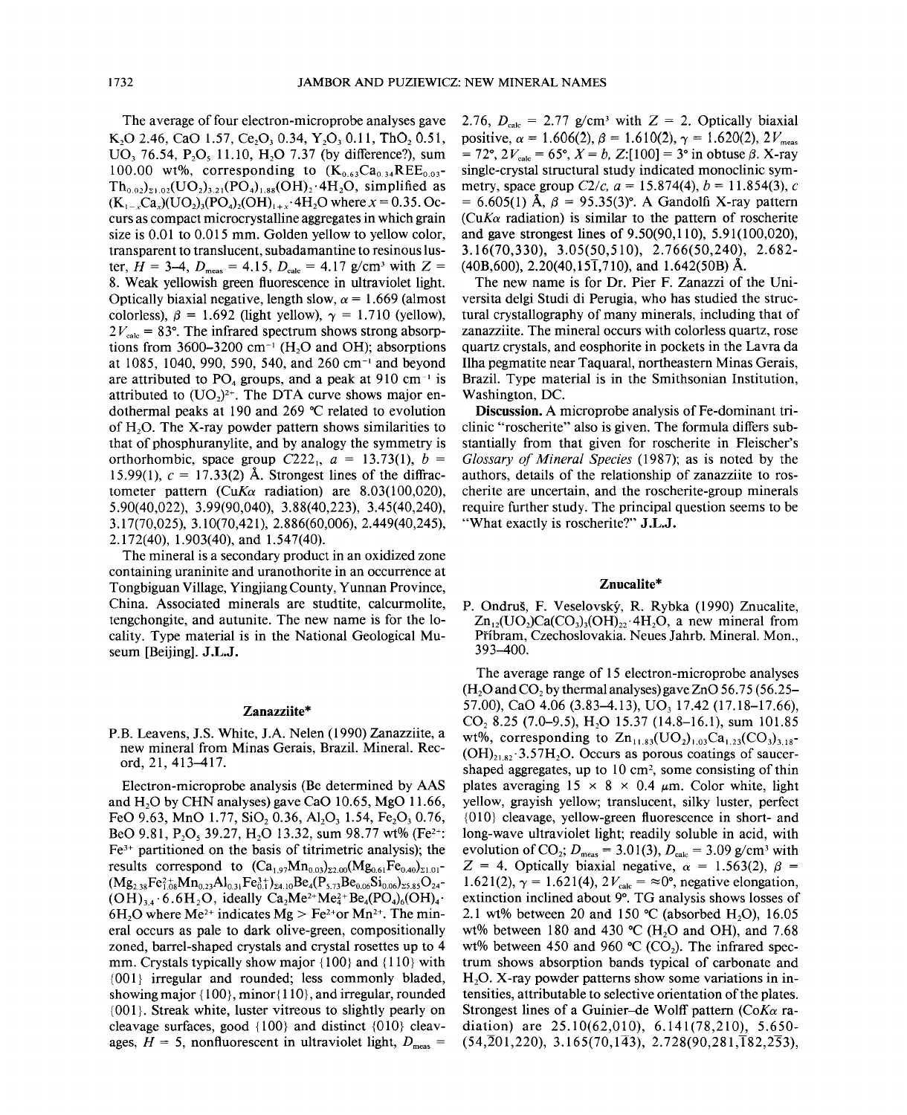The average of four electron-microprobe analyses gave K<sub>2</sub>O 2.46, CaO 1.57, Ce<sub>2</sub>O<sub>3</sub> 0.34, Y<sub>2</sub>O<sub>3</sub> 0.11, ThO<sub>2</sub> 0.51, UO<sub>3</sub> 76.54, P<sub>2</sub>O<sub>5</sub> 11.10, H<sub>2</sub>O 7.37 (by difference?), sum 100.00 wt%, corresponding to  $(K_{0.63}Ca_{0.34}REE_{0.03}^{-1})$  $Th_{0.02}$ <sub>21.02</sub>(UO<sub>2</sub>)<sub>3.21</sub>(PO<sub>4</sub>)<sub>1.88</sub>(OH)<sub>2</sub>.4H<sub>2</sub>O, simplified as  $(K_{1-x}Ca_x)(UQ_2)_3(PO_4)_2(OH)_{1+x}.4H_2O$  where  $x = 0.35$ . Occurs as compact microcrystalline aggregates in which grain size is 0.01 to 0.015 mm. Golden yellow to yellow color, transparent to translucent, subadamantine to resinous luster,  $H = 3-4$ ,  $D_{\text{meas}} = 4.15$ ,  $D_{\text{calc}} = 4.17$  *g/cm<sup>3</sup>* with  $Z =$ 8. Weak yellowish green fluorescence in ultraviolet light. Optically biaxial negative, length slow,  $\alpha$  = 1.669 (almost colorless),  $\beta = 1.692$  (light yellow),  $\gamma = 1.710$  (yellow),  $2V_{\text{calc}} = 83^{\circ}$ . The infrared spectrum shows strong absorptions from 3600–3200  $cm^{-1}$  (H<sub>2</sub>O and OH); absorptions at  $1085$ ,  $1040$ ,  $990$ ,  $590$ ,  $540$ , and  $260$  cm<sup>-1</sup> and beyond are attributed to  $PO<sub>4</sub>$  groups, and a peak at 910 cm<sup>-1</sup> is attributed to  $(UO<sub>2</sub>)<sup>2+</sup>$ . The DTA curve shows major endothermal peaks at 190 and 269°C related to evolution of  $H<sub>2</sub>O$ . The X-ray powder pattern shows similarities to that of phosphuranylite, and by analogy the symmetry is orthorhombic, space group  $C222<sub>1</sub>$ ,  $a = 13.73(1)$ ,  $b =$ 15.99(1),  $c = 17.33(2)$  Å. Strongest lines of the diffractometer pattern *(CuK* $\alpha$  radiation) are 8.03(100,020). 5.90(40,022), 3.99(90,040), 3.88(40,223), 3.45(40,240), 3.17(70,025), 3.10(70,421), 2.886(60,006), 2.449(40,245), 2.172(40), 1.903(40), and 1.547(40).

The mineral is a secondary product in an oxidized zone containing uraninite and uranothorite in an occurrence at Tongbiguan Village, Yingjiang County, Yunnan Province, China. Associated minerals are studtite, calcurmolite, tengchongite, and autunite. The new name is for the locality. Type material is in the National Geological Museum [Beijing]. J.L.J.

## Zanazziite\*

P.B. Leavens, 1.S. White, 1.A. Nelen (1990) Zanazziite, a new mineral from Minas Gerais, Brazil. Mineral. Record, 21, 413-417.

Electron-microprobe analysis (Be determined by AAS and  $H<sub>2</sub>O$  by CHN analyses) gave CaO 10.65, MgO 11.66, FeO 9.63, MnO 1.77, SiO, 0.36, Al, O, 1.54, Fe, O, 0.76, BeO 9.81, P<sub>2</sub>O<sub>5</sub> 39.27, H<sub>2</sub>O 13.32, sum 98.77 wt% (Fe<sup>2+</sup>:  $Fe<sup>3+</sup>$  partitioned on the basis of titrimetric analysis); the results correspond to  $(Ca_{1,97}Mn_{0.03})_{22,00}(Mg_{0.61}Fe_{0.40})_{21,01}$ - $(Mg_{2,38}Fe_{1,08}^{2+}Mn_{0,23}Al_{0,31}Fe_{0,1}^{3+})_{\Sigma 4.10}Be_4(P_{5,73}Be_{0,06}Si_{0,06})_{\Sigma 5.85}O_{24}$ - $(OH)_{3,4} \cdot 6.6H_2O$ , ideally  $Ca_2Me^{2+}Me^{2+}_4Be_4(PO_4)_6(OH)_4$ . 6H<sub>2</sub>O where Me<sup>2+</sup> indicates Mg > Fe<sup>2+</sup>or Mn<sup>2+</sup>. The mineral occurs as pale to dark olive-green, compositionally zoned, barrel-shaped crystals and crystal rosettes up to 4 mm. Crystals typically show major  ${100}$  and  ${110}$  with {001} irregular and rounded; less commonly bladed, showing major  $\{100\}$ , minor $\{110\}$ , and irregular, rounded {001}. Streak white, luster vitreous to slightly pearly on cleavage surfaces, good  $\{100\}$  and distinct  $\{010\}$  cleavages,  $H = 5$ , nonfluorescent in ultraviolet light,  $D_{\text{meas}} =$ 

2.76,  $D_{\text{calc}} = 2.77$  g/cm<sup>3</sup> with  $Z = 2$ . Optically biaxial positive,  $\alpha = 1.606(2)$ ,  $\beta = 1.610(2)$ ,  $\gamma = 1.620(2)$ ,  $2V_{\text{meas}}$  $= 72^{\circ}, 2V_{\text{calc}} = 65^{\circ}, X = b, Z:[100] = 3^{\circ}$  in obtuse  $\beta$ . X-ray single-crystal structural study indicated monoclinic symmetry, space group  $C2/c$ ,  $a = 15.874(4)$ ,  $b = 11.854(3)$ , c  $= 6.605(1)$  Å,  $\beta = 95.35(3)$ °. A Gandolfi X-ray pattern  $(CuK\alpha$  radiation) is similar to the pattern of roscherite and gave strongest lines of 9.50(90,110), 5.91(100,020), 3.16(70,330), 3.05(50,510), 2.766(50,240), 2.682-  $(40B,600)$ , 2.20 $(40.15\overline{1}$ ,710), and 1.642(50B) Å.

The new name is for Dr. Pier F. Zanazzi of the Universita delgi Studi di Perugia, who has studied the structural crystallography of many minerals, including that of zanazziite. The mineral occurs with colorless quartz, rose quartz crystals, and eosphorite in pockets in the Lavra da Ilha pegmatite near Taquaral, northeastern Minas Gerais, Brazil. Type material is in the Smithsonian Institution, Washington, DC.

Discussion. A microprobe analysis of Fe-dominant triclinic "roscherite" also is given. The formula differs substantially from that given for roscherite in Fleischer's *Glossary of Mineral Species* (1987); as is noted by the authors, details of the relationship of zanazziite to roscherite are uncertain, and the roscherite-group minerals require further study. The principal question seems to be "What exactly is roscherite?" J.L.J.

## Znucalite\*

P. Ondrus, F. Veselovsky, R. Rybka (1990) Znucalite,  $Zn_{12}(UO_2)Ca(CO_3)_{12}(OH)_{22}$ . 4H<sub>2</sub>O, a new mineral from Pfibram, Czechoslovakia. Neues lahrb. Mineral. Mon., 393-400.

The average range of 15 electron-microprobe analyses  $(H<sub>2</sub>O$  and  $CO<sub>2</sub>$  by thermal analyses) gave ZnO 56.75 (56.25– 57.00), CaO 4.06 (3.83-4.13), UO, 17.42 (17.18-17.66),  $CO$ , 8.25 (7.0–9.5), H<sub>2</sub>O 15.37 (14.8–16.1), sum 101.85 wt%, corresponding to  $\text{Zn}_{11.83}(\text{UO}_2)_{1.03}\text{Ca}_{1.23}(\text{CO}_3)_{3.18}$ - $(OH)_{2182}$  $\cdot$  3.57H<sub>2</sub>O. Occurs as porous coatings of saucershaped aggregates, up to  $10 \text{ cm}^2$ , some consisting of thin plates averaging  $15 \times 8 \times 0.4 \mu m$ . Color white, light yellow, grayish yellow; translucent, silky luster, perfect {01O} cleavage, yellow-green fluorescence in short- and long-wave ultraviolet light; readily soluble in acid, with evolution of CO<sub>2</sub>;  $D_{\text{meas}} = 3.01(3)$ ,  $D_{\text{calc}} = 3.09$  g/cm<sup>3</sup> with  $Z = 4$ . Optically biaxial negative,  $\alpha = 1.563(2)$ ,  $\beta =$ 1.621(2),  $\gamma = 1.621(4)$ ,  $2V_{\text{calc}} = \infty$ <sup>o</sup>, negative elongation extinction inclined about 9°. TG analysis shows losses of 2.1 wt% between 20 and 150  $\degree$ C (absorbed H<sub>2</sub>O), 16.05 wt% between 180 and 430 °C (H<sub>2</sub>O and OH), and 7.68 wt% between 450 and 960 °C (CO<sub>2</sub>). The infrared spectrum shows absorption bands typical of carbonate and  $H<sub>2</sub>O$ . X-ray powder patterns show some variations in intensities, attributable to selective orientation of the plates. Strongest lines of a Guinier-de Wolff pattern *(CoKa* radiation) are 25.10(62,010), 6.141(78,210), 5.650-  $(54,201,220), 3.165(70,1\overline{4}3), 2.728(90,281,182,2\overline{5}3),$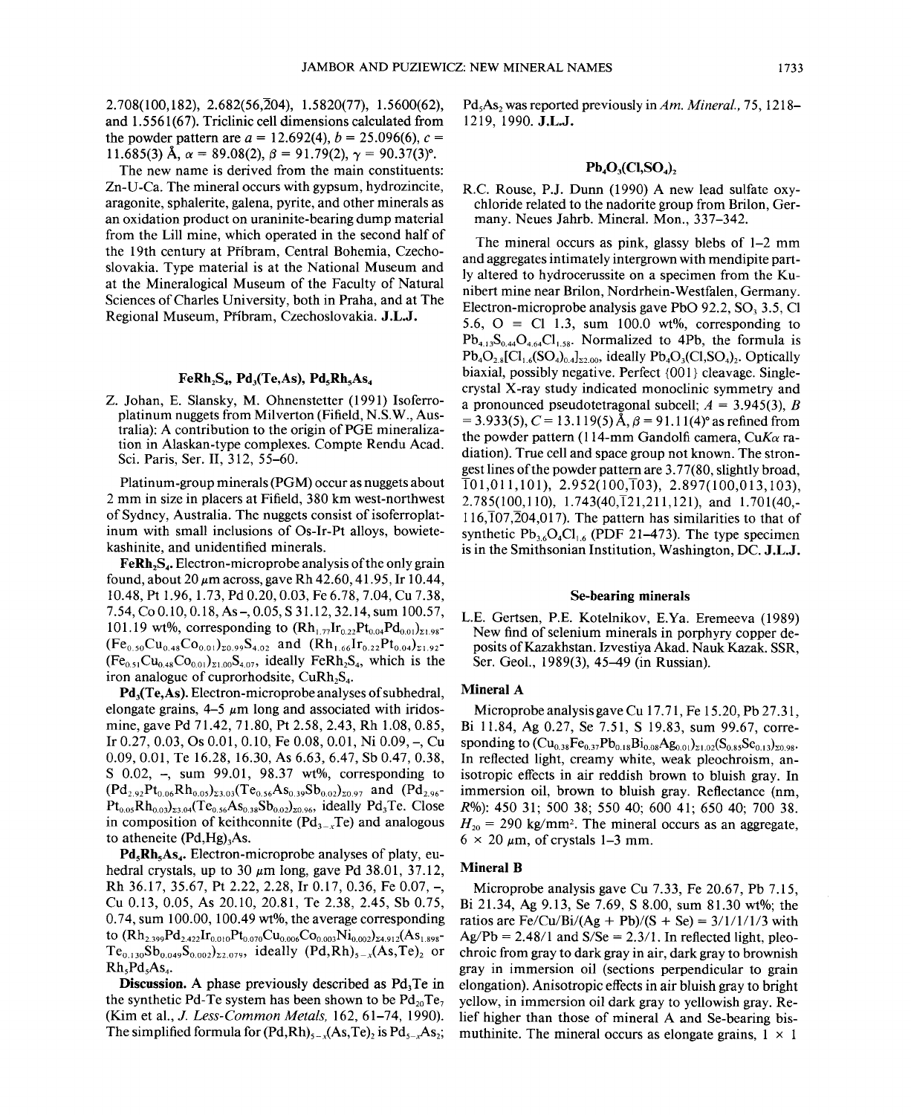$2.708(100,182)$ ,  $2.682(56,204)$ ,  $1.5820(77)$ ,  $1.5600(62)$ , and 1.5561 (67). Triclinic cell dimensions calculated from the powder pattern are  $a = 12.692(4)$ ,  $b = 25.096(6)$ ,  $c =$ 11.685(3) Å,  $\alpha = 89.08(2)$ ,  $\beta = 91.79(2)$ ,  $\gamma = 90.37(3)$ °.

The new name is derived from the main constituents: Zn-U-Ca. The mineral occurs with gypsum, hydrozincite, aragonite, sphalerite, galena, pyrite, and other minerals as an oxidation product on uraninite-bearing dump material from the Lill mine, which operated in the second half of the 19th century at Pfibram, Central Bohemia, Czechoslovakia. Type material is at the National Museum and at the Mineralogical Museum of the Faculty of Natural Sciences of Charles University, both in Praha, and at The Regional Museum, Pfibram, Czechoslovakia. J.L.J.

## $FeRh_2S_4$ , Pd<sub>3</sub>(Te,As), Pd<sub>5</sub>Rh<sub>5</sub>As<sub>4</sub>

Z. lohan, E. Siansky, M. Ohnenstetter (1991) Isoferroplatinum nuggets from Milverton (Fifield, N.S.W., Australia): A contribution to the origin of PGE mineralization in Alaskan-type complexes. Compte Rendu Acad. Sci. Paris, Ser. II, 312, 55-60.

Platinum-group minerals (PGM) occur as nuggets about 2 mm in size in placers at Fifield, 380 km west-northwest of Sydney, Australia. The nuggets consist of isoferroplatinum with small inclusions of Os-Ir-Pt alloys, bowietekashinite, and unidentified minerals.

 $\mathbf{F} \in \mathbf{R} \mathbf{h}_2 \mathbf{S}_4$ . Electron-microprobe analysis of the only grain found, about  $20 \mu m$  across, gave Rh  $42.60$ ,  $41.95$ , Ir  $10.44$ , 10.48, Pt 1.96, 1.73, Pd 0.20, 0.03, Fe 6.78,7.04, Cu 7.38, 7.54, Co 0.10, 0.18, As-, 0.05, S 31.12, 32.14, sum 100.57, 101.19 wt%, corresponding to  $(Rh_{1.77}Ir_{0.2}Pt_{0.04}Pd_{0.01})_{z_1.98}$  $(Fe_{0.50}Cu_{0.48}Co_{0.01})_{\Sigma 0.99}S_{4.02}$  and  $(Rh_{1.66}Ir_{0.22}Pt_{0.04})_{\Sigma 1.92}$  $(Fe<sub>0.51</sub>Cu<sub>0.48</sub>Co<sub>0.01</sub>)<sub>21.00</sub>S<sub>4.07</sub>$ , ideally FeRh<sub>2</sub>S<sub>4</sub>, which is the iron analogue of cuprorhodsite,  $CuRh<sub>2</sub>S<sub>4</sub>$ .

 $Pd<sub>3</sub>(Te, As)$ . Electron-microprobe analyses of subhedral, elongate grains,  $4-5 \mu m$  long and associated with iridosmine, gave Pd 71.42, 71.80, Pt 2.58, 2.43, Rh 1.08, 0.85, Ir 0.27, 0.03, Os 0.01, 0.10, Fe 0.08, 0.01, Ni 0.09, -, Cu 0.09, 0.01, Te 16.28, 16.30, As 6.63, 6.47, Sb 0.47, 0.38, S 0.02, -, sum 99.01, 98.37 wt%, corresponding to  $(Pd_{2.92}Pt_{0.06}Rh_{0.05})_{23.03} Te_{0.56}As_{0.39}Sb_{0.02}$ <sub>20.97</sub> and  $(Pd_{2.96}$ - $Pt_{0.05}Rh_{0.03}$ <sub>23.04</sub>(Te<sub>0.56</sub>As<sub>0.38</sub>Sb<sub>0.02</sub>)<sub>20.96</sub>, ideally Pd<sub>3</sub>Te. Close in composition of keithconnite  $(Pd<sub>3</sub>, Te)$  and analogous to atheneite  $(Pd, Hg)$ <sub>3</sub>As.

 $Pd_{5}Rh_{5}As_{4}$ . Electron-microprobe analyses of platy, euhedral crystals, up to 30  $\mu$ m long, gave Pd 38.01, 37.12, Rh 36.17, 35.67, Pt 2.22, 2.28, Ir 0.17, 0.36, Fe 0.07, -, Cu 0.13, 0.05, As 20.10, 20.81, Te 2.38, 2.45, Sb 0.75, 0.74, sum 100.00, 100.49 wt%, the average corresponding to  $(Rh_{2.399}Pd_{2.422}Ir_{0.010}Pt_{0.070}Cu_{0.006}Co_{0.003}Ni_{0.002})_{24.912}(As_{1.898}$  $Te_{0.130}Sb_{0.049}S_{0.002}z_{2.079}$ , ideally  $(Pd, Rh)_{5-x}(As, Te)_{2}$  or Rh, Pd, As.,

Discussion. A phase previously described as  $Pd<sub>3</sub>Te$  in the synthetic Pd-Te system has been shown to be  $Pd_{20}Te_7$ (Kim et aI., *J. Less-Common Metals,* 162,61-74, 1990). The simplified formula for  $(Pd,Rh)_{s-x}(As, Te)$ , is Pd<sub>s-x</sub>As<sub>2</sub>; Pd<sub>5</sub>As<sub>2</sub> was reported previously in *Am. Mineral.*, 75, 1218-1219, 1990. J.L.J.

# $Pb. O<sub>2</sub>(Cl, SO<sub>2</sub>)$

R.C. Rouse, *P.I.* Dunn (1990) A new lead sulfate oxychloride related to the nadorite group from Brilon, Germany. Neues lahrb. Mineral. Mon., 337-342.

The mineral occurs as pink, glassy blebs of 1-2 mm and aggregates intimately intergrown with mendipite partly altered to hydrocerussite on a specimen from the Kunibert mine near Brilon, Nordrhein- Westfalen, Germany. Electron-microprobe analysis gave PbO 92.2,  $SO<sub>3</sub>$  3.5, Cl 5.6,  $O \equiv Cl$  1.3, sum 100.0 wt%, corresponding to  $Pb_{4.13}S_{0.44}O_{4.64}Cl_{1.58}$ . Normalized to 4Pb, the formula is  $Pb_4O_{28}[\text{Cl}_{16}(\text{SO}_4)_{04}]_{\text{22,00}}$ , ideally  $Pb_4O_3(\text{Cl},\text{SO}_4)_{2}$ . Optically biaxial, possibly negative. Perfect {OOI} cleavage. Singlecrystal X-ray study indicated monoclinic symmetry and a pronounced pseudotetragonal subcell; *A* = 3.945(3), *B*  $= 3.933(5)$ ,  $C = 13.119(5)$  Å,  $\beta = 91.11(4)$ ° as refined from the powder pattern (114-mm Gandolfi camera, *CuKa* radiation). True cell and space group not known. The strongest lines of the powder pattern are 3.77(80, slightly broad,  $\overline{101, 011, 101}$ , 2.952(100, $\overline{103}$ ), 2.897(100,013,103), 2.785(100,110), 1.743(40,121,211,121), and 1.701(40,- $116,\overline{1}07,\overline{2}04,017$ ). The pattern has similarities to that of synthetic  $Pb_{3.6}O_4Cl_{1.6}$  (PDF 21-473). The type specimen is in the Smithsonian Institution, Washington, DC. J.L.J.

# Se-bearing minerals

L.E. Gertsen, P.E. Kotelnikov, E.Ya. Eremeeva (1989) New find of selenium minerals in porphyry copper deposits of Kazakhstan. Izvestiya Akad. Nauk Kazak. SSR, Ser. Geol., 1989(3), 45-49 (in Russian).

# Mineral A

Microprobe analysis gave Cu 17.71, Fe 15.20, Pb 27.31, Bi 11.84, Ag 0.27, Se 7.51, S 19.83, sum 99.67, corresponding to  $(Cu_{0.38}Fe_{0.37}Pb_{0.18}Bi_{0.08}Ag_{0.01})_{21.02}(S_{0.85}Se_{0.13})_{20.98}$ . In reflected light, creamy white, weak pleochroism, anisotropic effects in air reddish brown to bluish gray. In immersion oil, brown to bluish gray. Reflectance (nm, *R%):* 450 31; 500 38; 55040; 600 41; 650 40; 700 38.  $H_{20}$  = 290 kg/mm<sup>2</sup>. The mineral occurs as an aggregate,  $6 \times 20 \ \mu \text{m}$ , of crystals 1-3 mm.

## Mineral B

Microprobe analysis gave Cu 7.33, Fe 20.67, Pb 7.15, Bi 21.34, Ag 9.13, Se 7.69, S 8.00, sum 81.30 wt%; the ratios are Fe/Cu/Bi/(Ag + Pb)/(S + Se) =  $3/1/1/1/3$  with  $Ag/Pb = 2.48/1$  and  $S/Se = 2.3/1$ . In reflected light, pleochroic from gray to dark gray in air, dark gray to brownish gray in immersion oil (sections perpendicular to grain elongation). Anisotropic effects in air bluish gray to bright yellow, in immersion oil dark gray to yellowish gray. Relief higher than those of mineral A and Se-bearing bismuthinite. The mineral occurs as elongate grains,  $1 \times 1$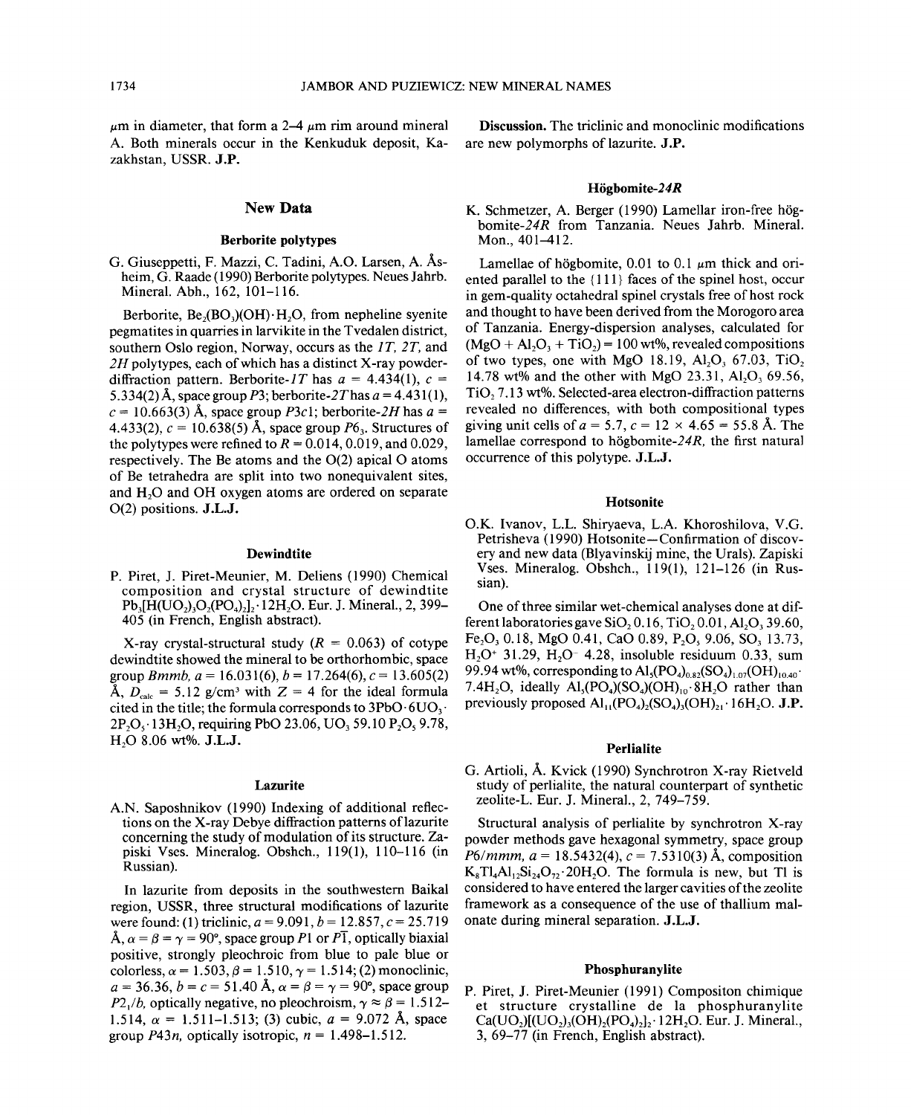$\mu$ m in diameter, that form a 2–4  $\mu$ m rim around mineral A. Both minerals occur in the Kenkuduk deposit, Kazakhstan, USSR. J.P.

# New Data

# Berborite polytypes

G. Giuseppetti, F. Mazzi, C. Tadini, A.O. Larsen, A. Asheim, G. Raade (1990) Berborite polytypes. Neues Jahrb. Mineral. Abh., 162, 101-116.

Berborite,  $Be_2(BO_3)(OH) \cdot H_2O$ , from nepheline syenite pegmatites in quarries in larvikite in the Tvedalen district, southern Oslo region, Norway, occurs as the *IT, 2T,* and *2H* polytypes, each of which has a distinct X-ray powderdiffraction pattern. Berborite-1T has  $a = 4.434(1)$ ,  $c =$ 5.334(2) Å, space group P3; berborite-2T has  $a = 4.431(1)$ ,  $c = 10.663(3)$  Å, space group *P3c1*; berborite-2H has  $a =$ 4.433(2),  $c = 10.638(5)$  Å, space group  $P6_3$ . Structures of the polytypes were refined to  $R = 0.014, 0.019$ , and 0.029, respectively. The Be atoms and the  $O(2)$  apical O atoms of Be tetrahedra are split into two nonequivalent sites, and H<sub>2</sub>O and OH oxygen atoms are ordered on separate 0(2) positions. J.L.J.

#### **Dewindtite**

P. Piret, J. Piret-Meunier, M. Deliens (1990) Chemical composition and crystal structure of dewindtite  $Pb_3[H(UO_2), O_2(PO_4)_2]$  l2H<sub>2</sub>O. Eur. J. Mineral., 2, 399-405 (in French, English abstract).

X-ray crystal-structural study  $(R = 0.063)$  of cotype dewindtite showed the mineral to be orthorhombic, space group *Bmmb*,  $a = 16.031(6)$ ,  $b = 17.264(6)$ ,  $c = 13.605(2)$  $\Lambda$ ,  $D_{\text{calc}} = 5.12$  g/cm<sup>3</sup> with  $Z = 4$  for the ideal formula cited in the title; the formula corresponds to  $3PbO·6UO<sub>3</sub>$ .  $2P_2O_5$  '13H<sub>2</sub>O, requiring PbO 23.06, UO<sub>3</sub> 59.10 P<sub>2</sub>O<sub>2</sub> 9.78, H20 8.06 wt%. J.L.J.

#### Lazurite

A.N. Saposhnikov (1990) Indexing of additional reflections on the X-ray Debye diffraction patterns of lazurite concerning the study of modulation of its structure. Zapiski Vses. Mineralog. Obshch., 119(1), 110-116 (in Russian).

In lazurite from deposits in the southwestern Baikal region, USSR, three structural modifications of lazurite were found: (1) triclinic,  $a = 9.091$ ,  $b = 12.857$ ,  $c = 25.719$  $\hat{A}$ ,  $\alpha = \beta = \gamma = 90^{\circ}$ , space group *P*1 or *PT*, optically biaxial positive, strongly pleochroic from blue to pale blue or colorless,  $\alpha = 1.503$ ,  $\beta = 1.510$ ,  $\gamma = 1.514$ ; (2) monoclinic,  $a = 36.36, b = c = 51.40$  Å,  $\alpha = \beta = \gamma = 90^{\circ}$ , space group  $P2_1/b$ , optically negative, no pleochroism,  $\gamma \approx \beta = 1.512$ . 1.514,  $\alpha = 1.511 - 1.513$ ; (3) cubic,  $a = 9.072$  Å, space group  $P43n$ , optically isotropic,  $n = 1.498 - 1.512$ .

Discussion. The triclinic and monoclinic modifications are new polymorphs of lazurite. J.P.

#### Högbomite-24R

K. Schmetzer, A. Berger (1990) Lamellar iron-free högbomite-24R from Tanzania. Neues Jahrb. Mineral. Mon., 401-412.

Lamellae of högbomite,  $0.01$  to  $0.1 \mu m$  thick and oriented parallel to the {Ill} faces of the spinel host, occur in gem-quality octahedral spinel crystals free of host rock and thought to have been derived from the Morogoro area of Tanzania. Energy-dispersion analyses, calculated for  $(MgO + Al<sub>2</sub>O<sub>3</sub> + TiO<sub>2</sub>) = 100$  wt%, revealed compositions of two types, one with MgO 18.19,  $Al_2O_3$  67.03, TiO<sub>2</sub> 14.78 wt% and the other with MgO 23.31, Al<sub>2</sub>O<sub>3</sub> 69.56,  $TiO<sub>2</sub>$  7.13 wt%. Selected-area electron-diffraction patterns revealed no differences, with both compositional types giving unit cells of  $a = 5.7$ ,  $c = 12 \times 4.65 = 55.8$  Å. The lamellae correspond to högbomite- $24R$ , the first natural occurrence of this polytype. J.L.J.

#### Hotsonite

O.K. Ivanov, L.L. Shiryaeva, L.A. Khoroshilova, V.G. Petrisheva (1990) Hotsonite-Confirmation of discovery and new data (Blyavinskij mine, the Urals). Zapiski Vses. Mineralog. Obshch., 119(1), 121-126 (in Russian).

One of three similar wet-chemical analyses done at different laboratories gave  $SiO<sub>2</sub> 0.16$ , TiO<sub>2</sub> 0.01, Al<sub>2</sub>O<sub>3</sub> 39.60, Fe<sub>2</sub>O<sub>3</sub> 0.18, MgO 0.41, CaO 0.89, P<sub>2</sub>O<sub>5</sub> 9.06, SO<sub>3</sub> 13.73,  $H_2O^+$  31.29,  $H_2O^-$  4.28, insoluble residuum 0.33, sum 99.94 wt%, corresponding to  $\text{Al}_3(\text{PO}_4)_{0.82}(\text{SO}_4)_{1.07}(\text{OH})_{10.40}$ . 7.4H<sub>2</sub>O, ideally  $\text{Al}_5(\text{PO}_4)(\text{SO}_4)(\text{OH})_{10} \cdot 8\text{H}_2\text{O}$  rather than previously proposed  $\text{Al}_{11}(\text{PO}_4)_2(\text{SO}_4)_3(\text{OH})_{21}$ , 16H<sub>2</sub>O. J.P.

### Perlialite

G. Artioli, A. Kvick (1990) Synchrotron X-ray Rietveld study of perlialite, the natural counterpart of synthetic zeolite-L. Eur. J. Mineral., 2, 749-759.

Structural analysis of perlialite by synchrotron X-ray powder methods gave hexagonal symmetry, space group *P6/mmm,*  $a = 18.5432(4)$ ,  $c = 7.5310(3)$  Å, composition  $K_sT_4A_1.Si_{24}O_7$ , 20H<sub>2</sub>O. The formula is new, but Tl is considered to have entered the larger cavities of the zeolite framework as a consequence of the use of thallium malonate during mineral separation. J.L.J.

#### Phosphuranylite

P. Piret, J. Piret-Meunier (1991) Compositon chimique et structure crystalline de la phosphuranylite  $Ca(UO<sub>2</sub>)(UO<sub>2</sub>)(OH)<sub>2</sub>(PO<sub>4</sub>)<sub>2</sub>]+12H<sub>2</sub>O$ . Eur. J. Mineral., 3, 69-77 (in French, English abstract).